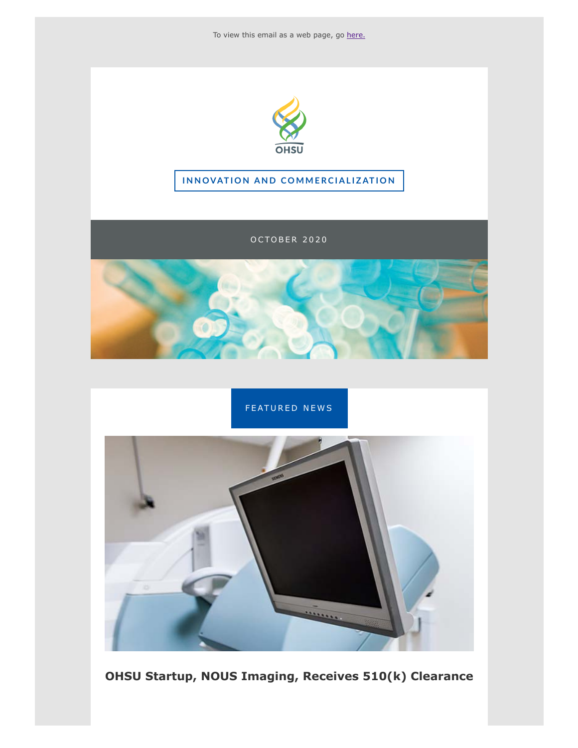



#### **INNOVATION AND COMMERCIALIZATION**

OCTOBER 2020





**OHSU Startup, NOUS Imaging, Receives 510(k) Clearance**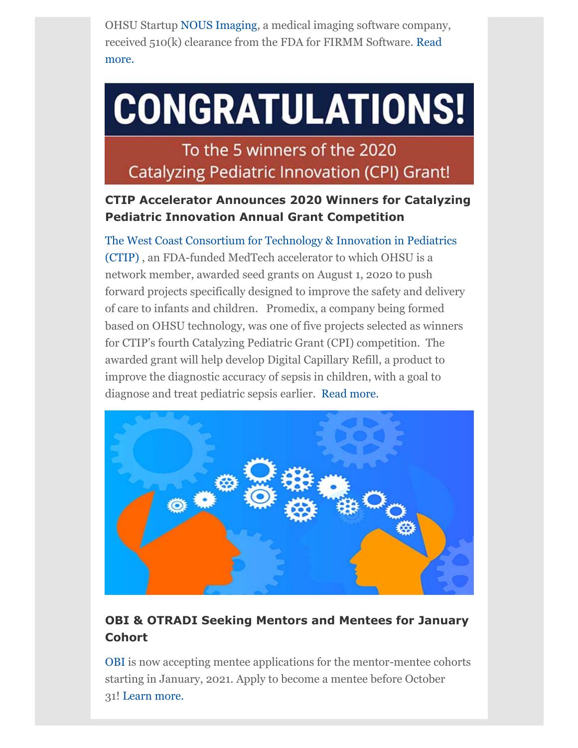OHSU Startup [NOUS Imaging,](http://click.send.ohsu.edu/?qs=73e8993031d584badb9e54f277f52e77771e5ddffd36ced6ed985ea902cc810fa74647d460e3031e55b76b217a8cdfe8) a medical imaging software company, [received 510\(k\) clearance from the FDA for FIRMM Software.](http://click.send.ohsu.edu/?qs=73e8993031d584ba12fba4a1de7482a430a15974e307f77039e67c707656f2c192ac56862cce929a11d038bc81dc445d) Read more.

# **CONGRATULATIONS!**

To the 5 winners of the 2020 **Catalyzing Pediatric Innovation (CPI) Grant!** 

## **CTIP Accelerator Announces 2020 Winners for Catalyzing Pediatric Innovation Annual Grant Competition**

[The West Coast Consortium for Technology & Innovation in Pediatrics](http://click.send.ohsu.edu/?qs=73e8993031d584ba176699de27ab5ce5988c97b78cca8f8b15b08a247eae769b39420d86fdb4b1c1482b0b56f27f3fe3) (CTIP) , an FDA-funded MedTech accelerator to which OHSU is a network member, awarded seed grants on August 1, 2020 to push forward projects specifically designed to improve the safety and delivery of care to infants and children. Promedix, a company being formed based on OHSU technology, was one of five projects selected as winners for CTIP's fourth Catalyzing Pediatric Grant (CPI) competition. The awarded grant will help develop Digital Capillary Refill, a product to improve the diagnostic accuracy of sepsis in children, with a goal to diagnose and treat pediatric sepsis earlier. [Read more.](http://click.send.ohsu.edu/?qs=73e8993031d584ba8159eb9bb519541cafc16ae007bbce77f4f59525854cdae9075c0c2fa340daad8ab714e649f8102a)



# **OBI & OTRADI Seeking Mentors and Mentees for January Cohort**

[OBI](http://click.send.ohsu.edu/?qs=73e8993031d584bab6cf1277db8b9b8f229a969646422d9f2e289a8e0c4caa8f6b1522d359ef826a046c969701b9e21b) is now accepting mentee applications for the mentor-mentee cohorts starting in January, 2021. Apply to become a mentee before October 31! [Learn more.](http://click.send.ohsu.edu/?qs=73e8993031d584ba278cd096f82f121cb1af7edc248fe2a8da87e977fe7ab1a84a934f1a5bc2ab57d4dd8a7e16940046)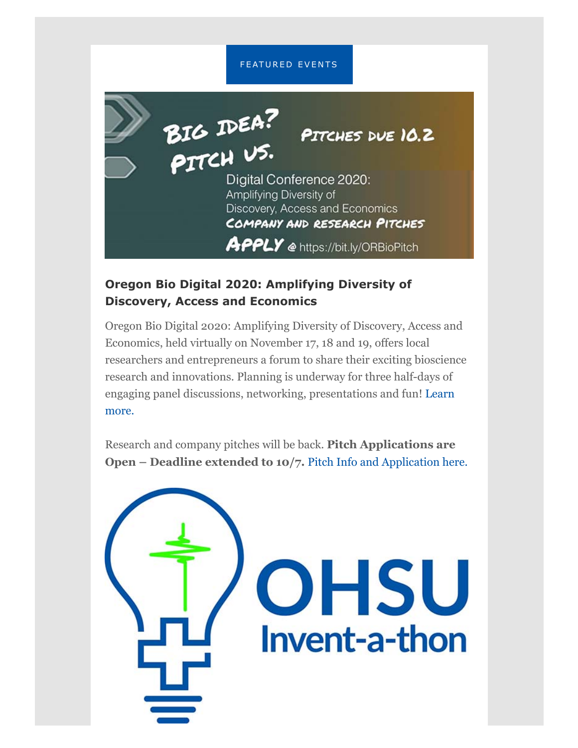#### FEATURED EVENTS



### **Oregon Bio Digital 2020: Amplifying Diversity of Discovery, Access and Economics**

Oregon Bio Digital 2020: Amplifying Diversity of Discovery, Access and Economics, held virtually on November 17, 18 and 19, offers local researchers and entrepreneurs a forum to share their exciting bioscience research and innovations. Planning is underway for three half-days of [engaging panel discussions, networking, presentations and fun! Learn](http://click.send.ohsu.edu/?qs=73e8993031d584ba49f93cf42f4c3951ebdf1466a6658ed9bbe9ccc127b07abe420f842b7e3e26369d37bc3c9d95c6c0) more.

Research and company pitches will be back. **Pitch Applications are Open – Deadline extended to 10/7. [Pitch Info and Application here.](http://click.send.ohsu.edu/?qs=73e8993031d584bac59d255810836c235b6200c6fd7ad2b6fe43362118b1e84287052bd11f63d24700a4f0c356fe75e0)** 

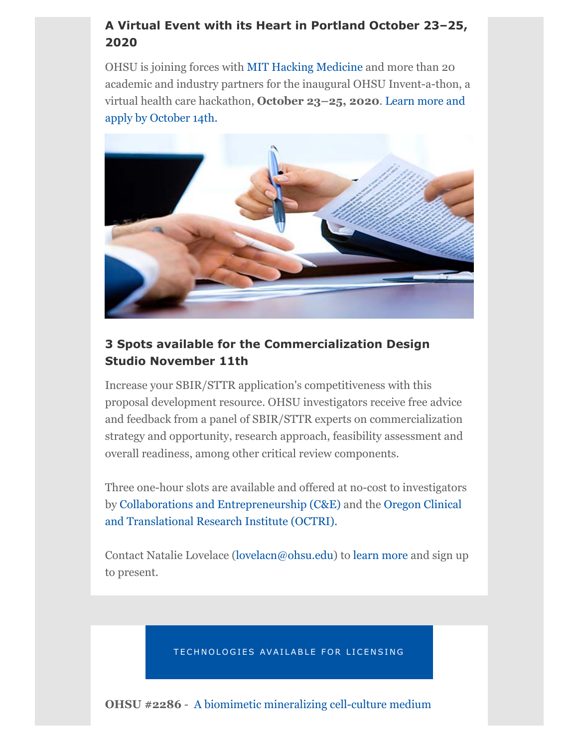# **A Virtual Event with its Heart in Portland October 23–25, 2020**

OHSU is joining forces with [MIT Hacking Medicine](http://click.send.ohsu.edu/?qs=73e8993031d584ba793780a7b07de5483a179e5d7016aa23f113e6ff10c9a3baef32c7e1266ae394acb3164ed09ca5c1) and more than 20 academic and industry partners for the inaugural OHSU Invent-a-thon, a [virtual health care hackathon,](http://click.send.ohsu.edu/?qs=73e8993031d584ba2af0cf9989752d17dc13c19d2c1052d2db0ed2def84794d86924866f4bdf03121e1af5a87dac30b7) **October 23–25, 2020**. Learn more and apply by October 14th.



## **3 Spots available for the Commercialization Design Studio November 11th**

Increase your SBIR/STTR application's competitiveness with this proposal development resource. OHSU investigators receive free advice and feedback from a panel of SBIR/STTR experts on commercialization strategy and opportunity, research approach, feasibility assessment and overall readiness, among other critical review components.

Three one-hour slots are available and offered at no-cost to investigators [by C](http://click.send.ohsu.edu/?qs=73e8993031d584ba773ab9a6ca9454c6d617f33b1660abd3e868d5919cdc709ec27e3e3aa58a5e0b7c67c1f167f398bb)[ollaborations and Entrepreneurship \(C&E\)](http://click.send.ohsu.edu/?qs=73e8993031d584bab9b0017e003f2d7835eba98cf7a8ccd68c65f2d92c2cc656da258b084f4e8d3e2fde1badcb14b129) [and the Oregon Clinical](http://click.send.ohsu.edu/?qs=73e8993031d584ba773ab9a6ca9454c6d617f33b1660abd3e868d5919cdc709ec27e3e3aa58a5e0b7c67c1f167f398bb) and Translational Research Institute (OCTRI).

Contact Natalie Lovelace ([lovelacn@ohsu.edu](mailto:lovelacn@ohsu.edu?subject=)) to [learn more](http://click.send.ohsu.edu/?qs=73e8993031d584baf17930ee372372cac7fc918403993d9126a5e8df0a3a3163386650ee2ad5e0ac26607857a529309b) and sign up to present.

TECHNOLOGIES AVAILABLE FOR LICENSING

**OHSU #2286** - [A biomimetic mineralizing cell-culture medium](http://click.send.ohsu.edu/?qs=73e8993031d584badd8cf3b9c0ed585f699aa13a82f055d4281f1a8c14de7d4a8101f48a23dc6a0fddb6baec24596890)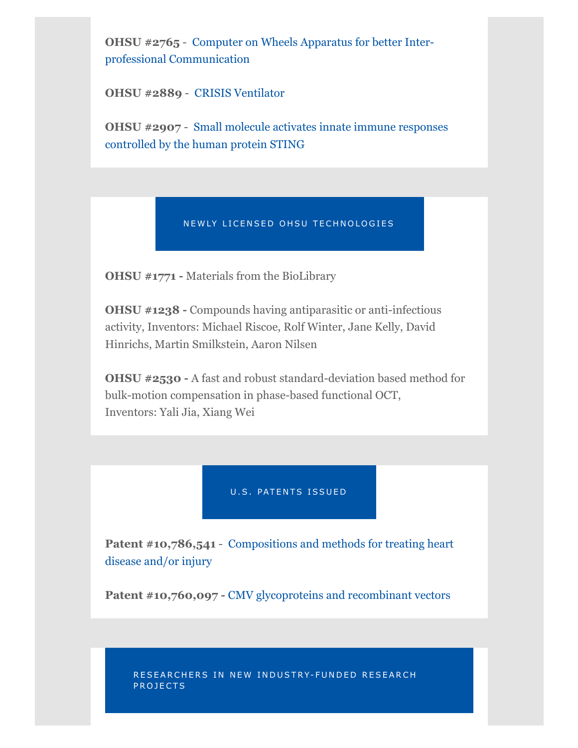**OHSU #2765** [- Computer on Wheels Apparatus for better Inter](http://click.send.ohsu.edu/?qs=73e8993031d584ba4ec1aa452bfc195e955f10b34a8e6e4617f8d6c374eccd1f709344cb7d727f3c1b54b7abb33a9ebf)professional Communication

**OHSU #2889** - [CRISIS Ventilator](http://click.send.ohsu.edu/?qs=73e8993031d584bab7ecf1192d48ad91a363b4225a3766ba084c1af120060378d5a7e0b9852298bce6e209aa65ef3909)

**OHSU #2907** [- Small molecule activates innate immune responses](http://click.send.ohsu.edu/?qs=73e8993031d584ba151a9db06c45539858126d91b896a89145fd0231a45fae61ee0dc995b708cabad0c44cc5571aec3a) controlled by the human protein STING

#### NEWLY LICENSED OHSU TECHNOLOGIES

**OHSU #1771 -** Materials from the BioLibrary

**OHSU #1238 -** Compounds having antiparasitic or anti-infectious activity, Inventors: Michael Riscoe, Rolf Winter, Jane Kelly, David Hinrichs, Martin Smilkstein, Aaron Nilsen

**OHSU #2530 -** A fast and robust standard-deviation based method for bulk-motion compensation in phase-based functional OCT, Inventors: Yali Jia, Xiang Wei

U.S. PATENTS ISSUED

**Patent #10,786,541** [- Compositions and methods for treating heart](http://click.send.ohsu.edu/?qs=73e8993031d584ba199ea5bdb61b2ac05ba2b50137bbb558890afd326f0cb62077c6611b3328f9306efc48d5f627fec9) disease and/or injury

Patent #10,760,097 - [CMV glycoproteins and recombinant vectors](http://click.send.ohsu.edu/?qs=73e8993031d584badc75fffeda016d3484a0be9a5b959ee61c11da558d6b3f63a5d342576c52b63a52e577686c3e6132)

RESEARCHERS IN NEW INDUSTRY-FUNDED RESEARCH PROJECTS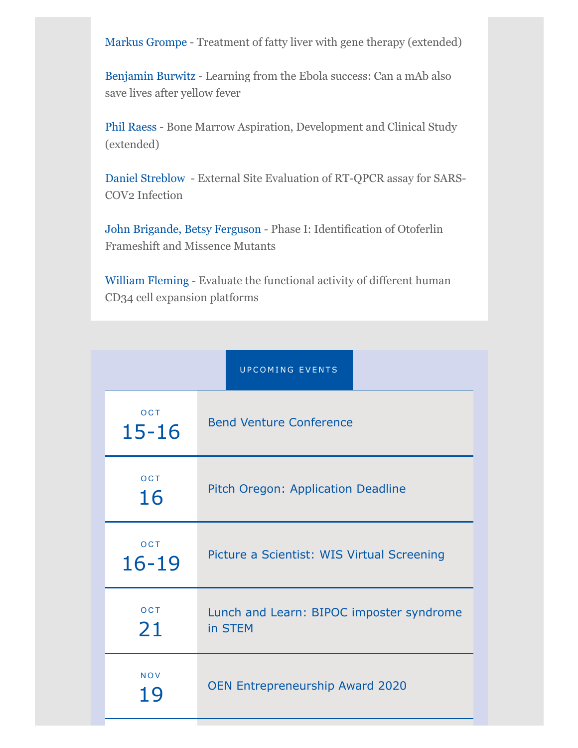[Markus Grompe](http://click.send.ohsu.edu/?qs=73e8993031d584baefab5647c52f122603e3a821070c205e7836bab865878394b9c0bba8c49bd29ebe701452c68d2260) - Treatment of fatty liver with gene therapy (extended)

[Benjamin Burwitz](http://click.send.ohsu.edu/?qs=73e8993031d584ba726503cbb00e16c68fb02af999a9948f23276f81e3959826e2f48064e1859720fe32a7c6f3fd7416) - Learning from the Ebola success: Can a mAb also save lives after yellow fever

[Phil Raess](http://click.send.ohsu.edu/?qs=73e8993031d584baa0a38bc0ea8a9e9fe8afd56af83f55743eebaac3b18e19eeae24dc8277a4466308c9b6e23ea3d698) - Bone Marrow Aspiration, Development and Clinical Study (extended)

[Daniel Streblow](http://click.send.ohsu.edu/?qs=73e8993031d584bad60640d5902b2c5d459191f6aa5e60a2ff1a03b7e0d2aa26971d4fdef3a5ac865c386fecb29b7576) - External Site Evaluation of RT-QPCR assay for SARS-COV2 Infection

[John Brigande,](http://click.send.ohsu.edu/?qs=73e8993031d584ba29e928eba4f31059df00bba3ab6a74655318642051c913dd702c5263425cb132c86931da2026ac14) [Betsy Ferguson](http://click.send.ohsu.edu/?qs=73e8993031d584ba30a342df203450c7ede440c8a4b2fdf0ed48442c276d12791c608c5a3aad06ae971567b530cc73c1) - Phase I: Identification of Otoferlin Frameshift and Missence Mutants

[William Fleming](http://click.send.ohsu.edu/?qs=73e8993031d584baaf3ed671f40910fd8aa0867b3804e8e7ebacf811eedd9d355da6febe1c0f3d364d3c644426e0ea88) - Evaluate the functional activity of different human CD34 cell expansion platforms

| <b>UPCOMING EVENTS</b>  |                                                     |
|-------------------------|-----------------------------------------------------|
| <b>OCT</b><br>$15 - 16$ | <b>Bend Venture Conference</b>                      |
| OCT<br>16               | Pitch Oregon: Application Deadline                  |
| OCT<br>$16 - 19$        | Picture a Scientist: WIS Virtual Screening          |
| OCT<br>21               | Lunch and Learn: BIPOC imposter syndrome<br>in STEM |
| <b>NOV</b><br>19        | <b>OEN Entrepreneurship Award 2020</b>              |